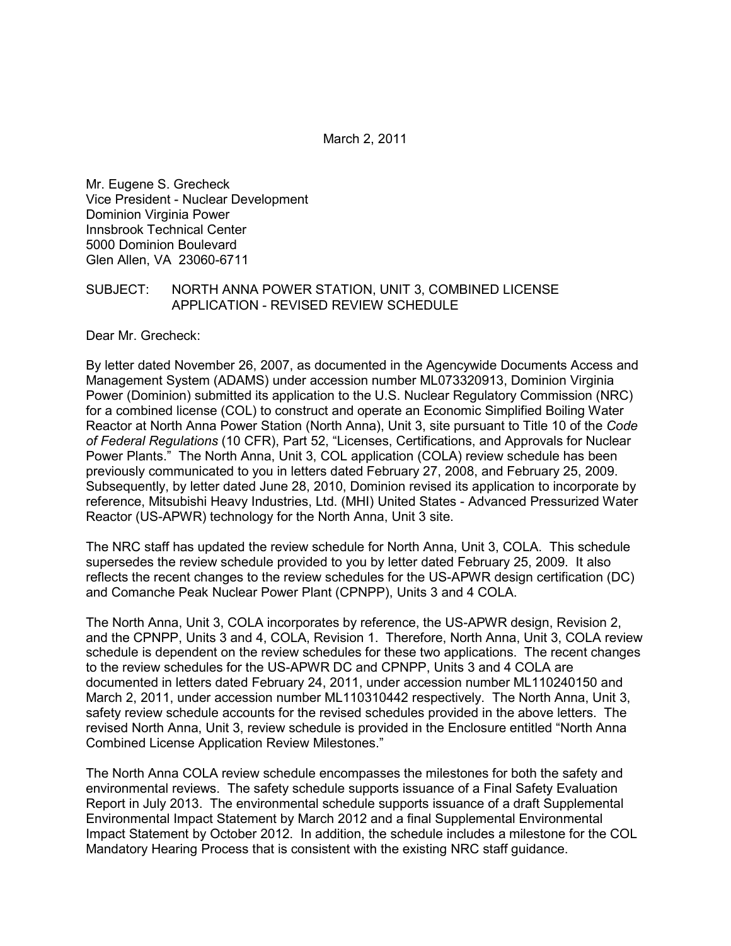March 2, 2011

Mr. Eugene S. Grecheck Vice President - Nuclear Development Dominion Virginia Power Innsbrook Technical Center 5000 Dominion Boulevard Glen Allen, VA 23060-6711

## SUBJECT: NORTH ANNA POWER STATION, UNIT 3, COMBINED LICENSE APPLICATION - REVISED REVIEW SCHEDULE

Dear Mr. Grecheck:

By letter dated November 26, 2007, as documented in the Agencywide Documents Access and Management System (ADAMS) under accession number ML073320913, Dominion Virginia Power (Dominion) submitted its application to the U.S. Nuclear Regulatory Commission (NRC) for a combined license (COL) to construct and operate an Economic Simplified Boiling Water Reactor at North Anna Power Station (North Anna), Unit 3, site pursuant to Title 10 of the *Code of Federal Regulations* (10 CFR), Part 52, "Licenses, Certifications, and Approvals for Nuclear Power Plants." The North Anna, Unit 3, COL application (COLA) review schedule has been previously communicated to you in letters dated February 27, 2008, and February 25, 2009. Subsequently, by letter dated June 28, 2010, Dominion revised its application to incorporate by reference, Mitsubishi Heavy Industries, Ltd. (MHI) United States - Advanced Pressurized Water Reactor (US-APWR) technology for the North Anna, Unit 3 site.

The NRC staff has updated the review schedule for North Anna, Unit 3, COLA. This schedule supersedes the review schedule provided to you by letter dated February 25, 2009. It also reflects the recent changes to the review schedules for the US-APWR design certification (DC) and Comanche Peak Nuclear Power Plant (CPNPP), Units 3 and 4 COLA.

The North Anna, Unit 3, COLA incorporates by reference, the US-APWR design, Revision 2, and the CPNPP, Units 3 and 4, COLA, Revision 1. Therefore, North Anna, Unit 3, COLA review schedule is dependent on the review schedules for these two applications. The recent changes to the review schedules for the US-APWR DC and CPNPP, Units 3 and 4 COLA are documented in letters dated February 24, 2011, under accession number ML110240150 and March 2, 2011, under accession number ML110310442 respectively. The North Anna, Unit 3, safety review schedule accounts for the revised schedules provided in the above letters. The revised North Anna, Unit 3, review schedule is provided in the Enclosure entitled "North Anna Combined License Application Review Milestones."

The North Anna COLA review schedule encompasses the milestones for both the safety and environmental reviews. The safety schedule supports issuance of a Final Safety Evaluation Report in July 2013. The environmental schedule supports issuance of a draft Supplemental Environmental Impact Statement by March 2012 and a final Supplemental Environmental Impact Statement by October 2012. In addition, the schedule includes a milestone for the COL Mandatory Hearing Process that is consistent with the existing NRC staff guidance.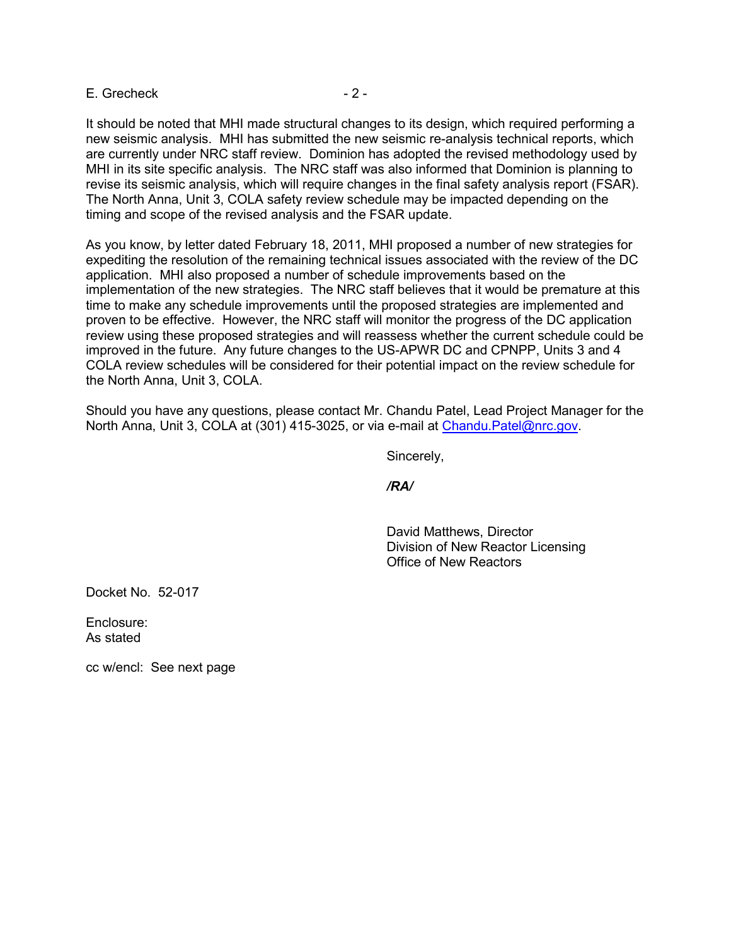### E. Grecheck  $-2 -$

It should be noted that MHI made structural changes to its design, which required performing a new seismic analysis. MHI has submitted the new seismic re-analysis technical reports, which are currently under NRC staff review. Dominion has adopted the revised methodology used by MHI in its site specific analysis. The NRC staff was also informed that Dominion is planning to revise its seismic analysis, which will require changes in the final safety analysis report (FSAR). The North Anna, Unit 3, COLA safety review schedule may be impacted depending on the timing and scope of the revised analysis and the FSAR update.

As you know, by letter dated February 18, 2011, MHI proposed a number of new strategies for expediting the resolution of the remaining technical issues associated with the review of the DC application. MHI also proposed a number of schedule improvements based on the implementation of the new strategies. The NRC staff believes that it would be premature at this time to make any schedule improvements until the proposed strategies are implemented and proven to be effective. However, the NRC staff will monitor the progress of the DC application review using these proposed strategies and will reassess whether the current schedule could be improved in the future. Any future changes to the US-APWR DC and CPNPP, Units 3 and 4 COLA review schedules will be considered for their potential impact on the review schedule for the North Anna, Unit 3, COLA.

Should you have any questions, please contact Mr. Chandu Patel, Lead Project Manager for the North Anna, Unit 3, COLA at (301) 415-3025, or via e-mail at Chandu. Patel@nrc.gov.

Sincerely,

*/RA/* 

 David Matthews, Director Division of New Reactor Licensing Office of New Reactors

Docket No. 52-017

Enclosure: As stated

cc w/encl: See next page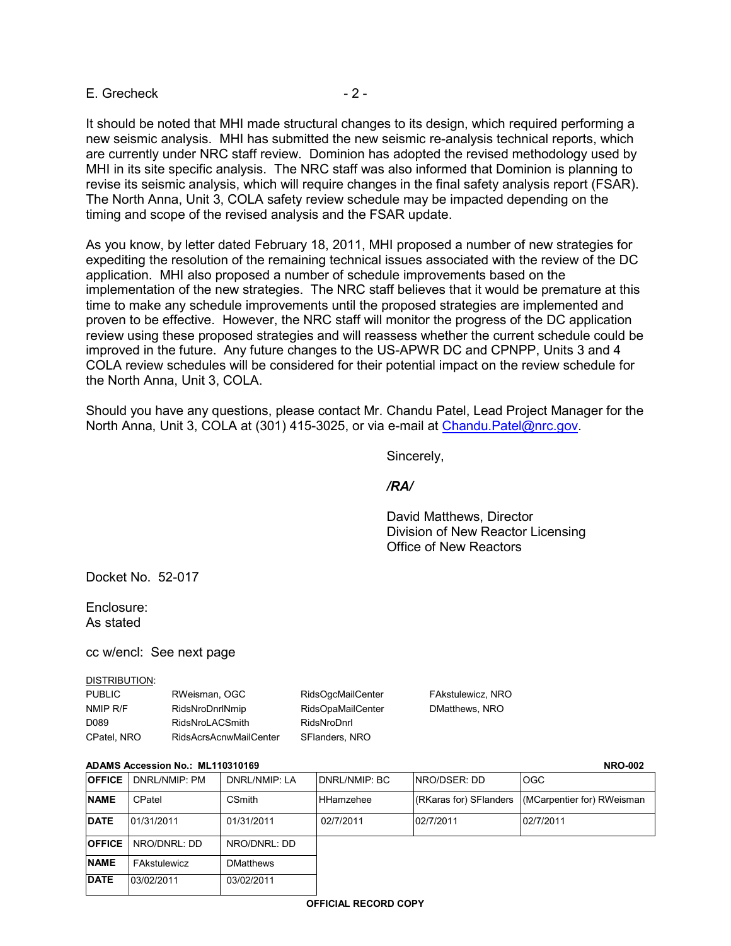E. Grecheck - 2 -

It should be noted that MHI made structural changes to its design, which required performing a new seismic analysis. MHI has submitted the new seismic re-analysis technical reports, which are currently under NRC staff review. Dominion has adopted the revised methodology used by MHI in its site specific analysis. The NRC staff was also informed that Dominion is planning to revise its seismic analysis, which will require changes in the final safety analysis report (FSAR). The North Anna, Unit 3, COLA safety review schedule may be impacted depending on the timing and scope of the revised analysis and the FSAR update.

As you know, by letter dated February 18, 2011, MHI proposed a number of new strategies for expediting the resolution of the remaining technical issues associated with the review of the DC application. MHI also proposed a number of schedule improvements based on the implementation of the new strategies. The NRC staff believes that it would be premature at this time to make any schedule improvements until the proposed strategies are implemented and proven to be effective. However, the NRC staff will monitor the progress of the DC application review using these proposed strategies and will reassess whether the current schedule could be improved in the future. Any future changes to the US-APWR DC and CPNPP, Units 3 and 4 COLA review schedules will be considered for their potential impact on the review schedule for the North Anna, Unit 3, COLA.

Should you have any questions, please contact Mr. Chandu Patel, Lead Project Manager for the North Anna, Unit 3, COLA at (301) 415-3025, or via e-mail at Chandu. Patel@nrc.gov.

Sincerely,

# */RA/*

 David Matthews, Director Division of New Reactor Licensing Office of New Reactors

Docket No. 52-017

Enclosure: As stated

cc w/encl: See next page

#### DISTRIBUTION:

| <b>PUBLIC</b>     | RWeisman, OGC                 | <b>RidsOgcMailCenter</b> | FAkstulewicz, NRO |
|-------------------|-------------------------------|--------------------------|-------------------|
| NMIP R/F          | RidsNroDnrlNmip               | <b>RidsOpaMailCenter</b> | DMatthews, NRO    |
| D <sub>0</sub> 89 | RidsNroLACSmith               | RidsNroDnrl              |                   |
| CPatel, NRO       | <b>RidsAcrsAcnwMailCenter</b> | SFlanders, NRO           |                   |

#### **ADAMS Accession No.: ML110310169 NRO-002**

| <b>OFFICE</b> | DNRL/NMIP: PM | DNRL/NMIP: LA    | DNRL/NMIP: BC    | INRO/DSER: DD          | <b>OGC</b>                 |
|---------------|---------------|------------------|------------------|------------------------|----------------------------|
| <b>NAME</b>   | CPatel        | <b>CSmith</b>    | <b>HHamzehee</b> | (RKaras for) SFlanders | (MCarpentier for) RWeisman |
| <b>DATE</b>   | 01/31/2011    | 01/31/2011       | 02/7/2011        | 02/7/2011              | 02/7/2011                  |
| <b>OFFICE</b> | NRO/DNRL: DD  | NRO/DNRL: DD     |                  |                        |                            |
| <b>NAME</b>   | FAkstulewicz  | <b>DMatthews</b> |                  |                        |                            |
| <b>DATE</b>   | 03/02/2011    | 03/02/2011       |                  |                        |                            |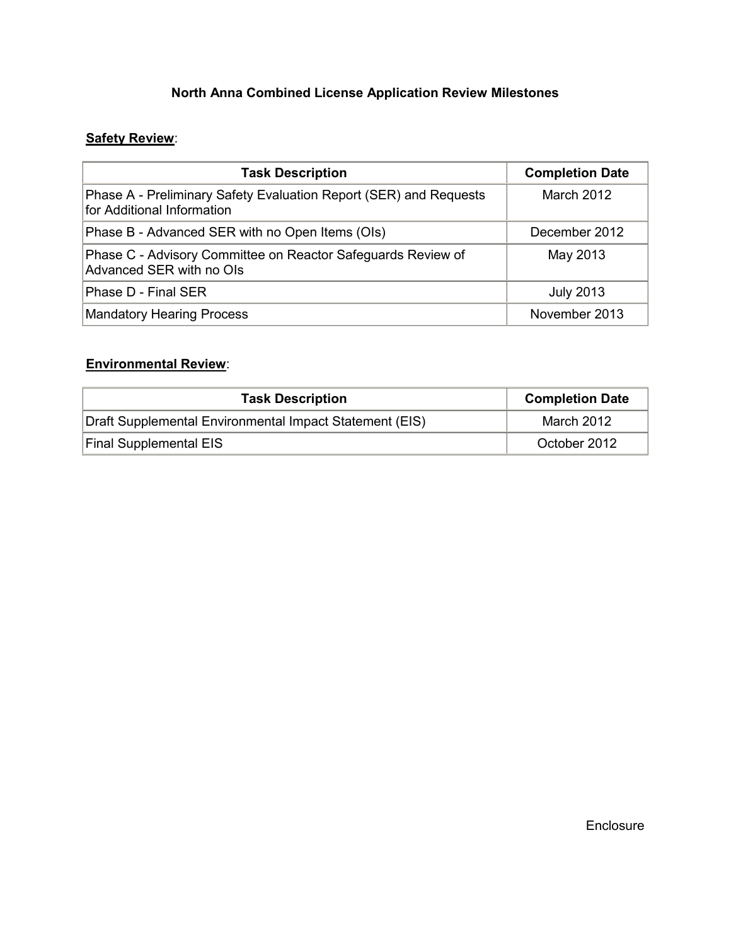# **North Anna Combined License Application Review Milestones**

# **Safety Review**:

| <b>Task Description</b>                                                                         | <b>Completion Date</b> |
|-------------------------------------------------------------------------------------------------|------------------------|
| Phase A - Preliminary Safety Evaluation Report (SER) and Requests<br>for Additional Information | March 2012             |
| Phase B - Advanced SER with no Open Items (OIs)                                                 | December 2012          |
| Phase C - Advisory Committee on Reactor Safeguards Review of<br>Advanced SER with no OIs        | May 2013               |
| Phase D - Final SER                                                                             | <b>July 2013</b>       |
| <b>Mandatory Hearing Process</b>                                                                | November 2013          |

# **Environmental Review**:

| <b>Task Description</b>                                 | <b>Completion Date</b> |
|---------------------------------------------------------|------------------------|
| Draft Supplemental Environmental Impact Statement (EIS) | March 2012             |
| <b>Final Supplemental EIS</b>                           | October 2012           |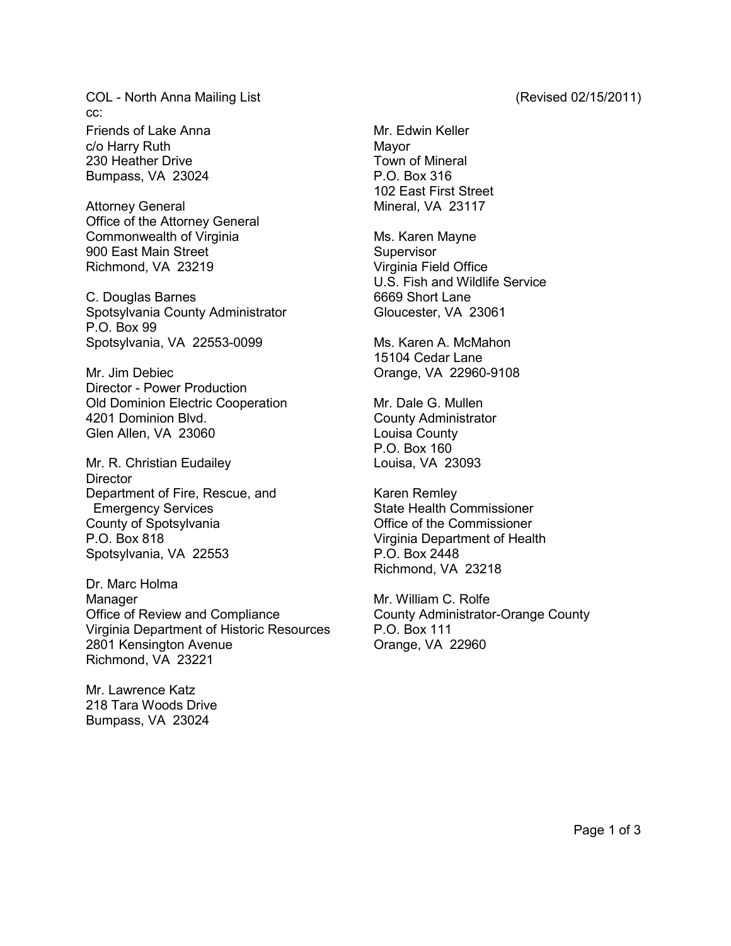COL - North Anna Mailing List (Revised 02/15/2011) cc: Friends of Lake Anna Mr. Edwin Keller

c/o Harry Ruth Mayor 230 Heather Drive **Town of Mineral** Bumpass, VA 23024 P.O. Box 316

Attorney General **Mineral**, VA 23117 Office of the Attorney General Commonwealth of Virginia Ms. Karen Mayne 900 East Main Street Supervisor Richmond, VA 23219 Virginia Field Office

C. Douglas Barnes 6669 Short Lane Spotsylvania County Administrator **Gloucester**, VA 23061 P.O. Box 99 Spotsylvania, VA 22553-0099 Ms. Karen A. McMahon

Mr. Jim Debiec **Canadian Contract Contract Contract Contract Contract Contract Contract Contract Contract Contract Contract Contract Contract Contract Contract Contract Contract Contract Contract Contract Contract Contract** Director - Power Production Old Dominion Electric Cooperation Mr. Dale G. Mullen 4201 Dominion Blvd. County Administrator Glen Allen, VA 23060 Louisa County

Mr. R. Christian Eudailey **Louisa**, VA 23093 **Director** Department of Fire, Rescue, and Karen Remley Emergency Services State Health Commissioner County of Spotsylvania Office of the Commissioner P.O. Box 818 Virginia Department of Health Spotsylvania, VA 22553 P.O. Box 2448

Dr. Marc Holma Manager Manager Mr. William C. Rolfe Office of Review and Compliance **County Administrator-Orange County** Virginia Department of Historic Resources P.O. Box 111 2801 Kensington Avenue **Canadian Crange**, VA 22960 Richmond, VA 23221

Mr. Lawrence Katz 218 Tara Woods Drive Bumpass, VA 23024

102 East First Street

U.S. Fish and Wildlife Service

15104 Cedar Lane

P.O. Box 160

Richmond, VA 23218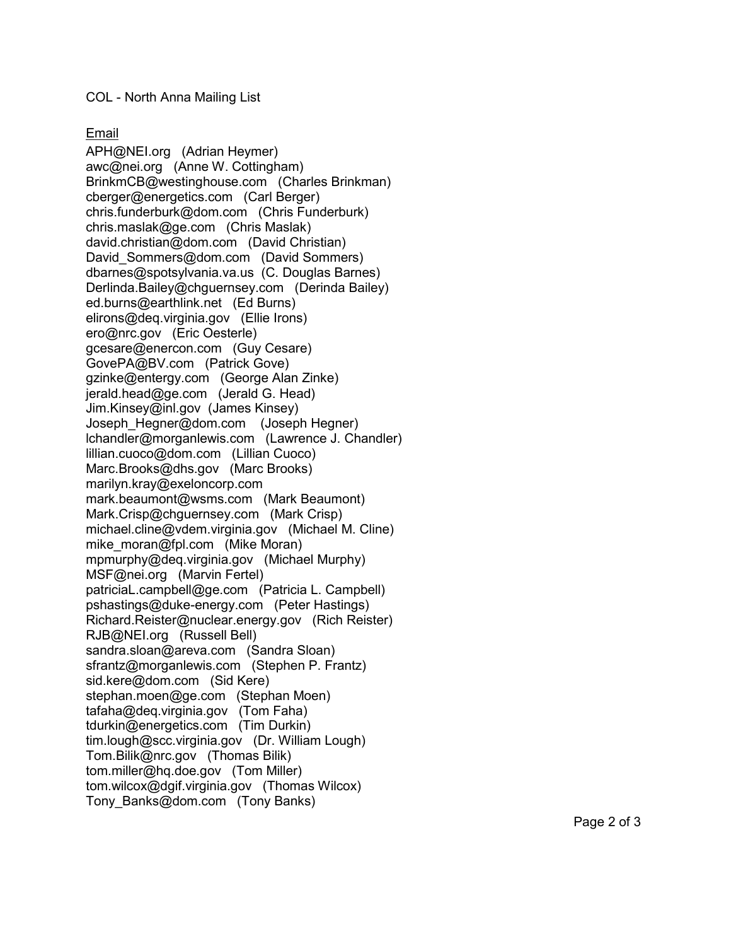# COL - North Anna Mailing List

# Email

APH@NEI.org (Adrian Heymer) awc@nei.org (Anne W. Cottingham) BrinkmCB@westinghouse.com (Charles Brinkman) cberger@energetics.com (Carl Berger) chris.funderburk@dom.com (Chris Funderburk) chris.maslak@ge.com (Chris Maslak) david.christian@dom.com (David Christian) David Sommers@dom.com (David Sommers) dbarnes@spotsylvania.va.us (C. Douglas Barnes) Derlinda.Bailey@chguernsey.com (Derinda Bailey) ed.burns@earthlink.net (Ed Burns) elirons@deq.virginia.gov (Ellie Irons) ero@nrc.gov (Eric Oesterle) gcesare@enercon.com (Guy Cesare) GovePA@BV.com (Patrick Gove) gzinke@entergy.com (George Alan Zinke) jerald.head@ge.com (Jerald G. Head) Jim.Kinsey@inl.gov (James Kinsey) Joseph\_Hegner@dom.com (Joseph Hegner) lchandler@morganlewis.com (Lawrence J. Chandler) lillian.cuoco@dom.com (Lillian Cuoco) Marc.Brooks@dhs.gov (Marc Brooks) marilyn.kray@exeloncorp.com mark.beaumont@wsms.com (Mark Beaumont) Mark.Crisp@chguernsey.com (Mark Crisp) michael.cline@vdem.virginia.gov (Michael M. Cline) mike\_moran@fpl.com (Mike Moran) mpmurphy@deq.virginia.gov (Michael Murphy) MSF@nei.org (Marvin Fertel) patriciaL.campbell@ge.com (Patricia L. Campbell) pshastings@duke-energy.com (Peter Hastings) Richard.Reister@nuclear.energy.gov (Rich Reister) RJB@NEI.org (Russell Bell) sandra.sloan@areva.com (Sandra Sloan) sfrantz@morganlewis.com (Stephen P. Frantz) sid.kere@dom.com (Sid Kere) stephan.moen@ge.com (Stephan Moen) tafaha@deq.virginia.gov (Tom Faha) tdurkin@energetics.com (Tim Durkin) tim.lough@scc.virginia.gov (Dr. William Lough) Tom.Bilik@nrc.gov (Thomas Bilik) tom.miller@hq.doe.gov (Tom Miller) tom.wilcox@dgif.virginia.gov (Thomas Wilcox) Tony Banks@dom.com (Tony Banks)